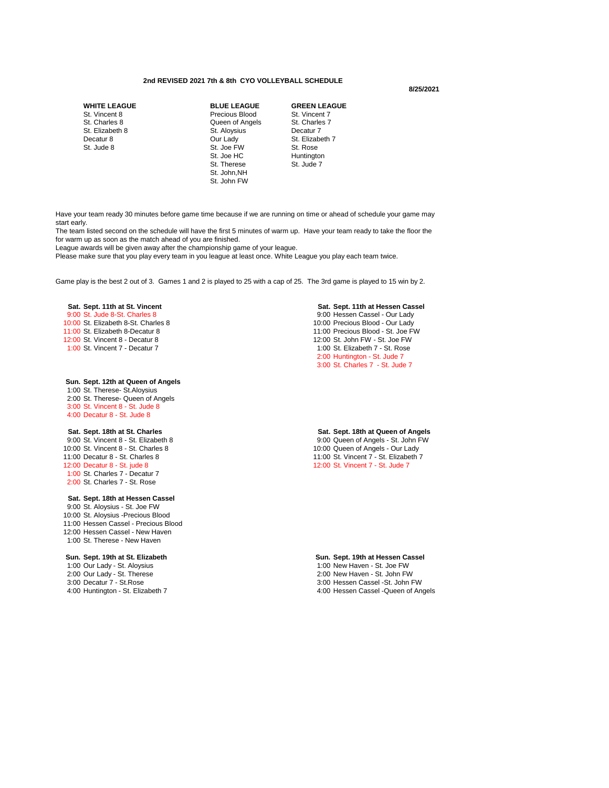## **2nd REVISED 2021 7th & 8th CYO VOLLEYBALL SCHEDULE**

### **8/25/2021**

| <b>WHITE LEAGUE</b> | <b>BLUE LEAGUE</b> | <b>GREEN LEAGUE</b>  |
|---------------------|--------------------|----------------------|
| St. Vincent 8       | Precious Blood     | St. Vincent 7        |
| St. Charles 8       | Queen of Angels    | St. Charles 7        |
| St. Elizabeth 8     | St. Aloysius       | Decatur <sub>7</sub> |
| Decatur 8           | Our Lady           | St. Elizabeth 7      |
| St. Jude 8          | St. Joe FW         | St. Rose             |
|                     | St. Joe HC         | Huntington           |
|                     | St. Therese        | St. Jude 7           |
|                     | St. John, NH       |                      |
|                     | St. John FW        |                      |

Have your team ready 30 minutes before game time because if we are running on time or ahead of schedule your game may start early.

The team listed second on the schedule will have the first 5 minutes of warm up. Have your team ready to take the floor the for warm up as soon as the match ahead of you are finished.

League awards will be given away after the championship game of your league.

Please make sure that you play every team in you league at least once. White League you play each team twice.

Game play is the best 2 out of 3. Games 1 and 2 is played to 25 with a cap of 25. The 3rd game is played to 15 win by 2.

10:00 St. Elizabeth 8-St. Charles 8 10:00 Precious Blood - Our Lady<br>11:00 St. Elizabeth 8-Decatur 8 10:00 Precious Blood - St. Joe Fl 11:00 St. Elizabeth 8-Decatur 8 11:00 Precious Blood - St. Joe FW<br>12:00 St. Vincent 8 - Decatur 8 12:00 St. John FW - St. Joe FW 1:00 St. Vincent 7 - Decatur 7 1:00 St. Elizabeth 7 - St. Rose

## **Sun. Sept. 12th at Queen of Angels**

1:00 St. Therese- St.Aloysius 2:00 St. Therese- Queen of Angels 3:00 St. Vincent 8 - St. Jude 8 4:00 Decatur 8 - St. Jude 8

1:00 St. Charles 7 - Decatur 7 2:00 St. Charles 7 - St. Rose

## **Sat. Sept. 18th at Hessen Cassel**

9:00 St. Aloysius - St. Joe FW 10:00 St. Aloysius -Precious Blood 11:00 Hessen Cassel - Precious Blood 12:00 Hessen Cassel - New Haven 1:00 St. Therese - New Haven

## **Sun. Sept. 19th at St. Elizabeth Sun. Sept. 19th at Hessen Cassel** 2:00 Our Lady - St. Therese<br>3:00 Decatur 7 - St. Rose 3:00 Decatur 7 - St.Rose 3:00 Hessen Cassel -St. John FW

**Sat. Sept. 11th at St. Vincent Sat. Sept. 11th at Hessen Cassel** 9:00 St. Jude 8-St. Charles 8 9:00 Hessen Cassel - Our Lady 12:00 St. John FW - St. Joe FW 2:00 Huntington - St. Jude 7 3:00 St. Charles 7 - St. Jude 7

**Sat. Sept. 18th at St. Charles Sat. Sept. 18th at Queen of Angels** 9:00 Queen of Angels - St. John FW 10:00 St. Vincent 8 - St. Charles 8 10:00 St. Vincent 8 - St. Charles 8 11:00 Decatur 8 - St. Charles 8 11:00 St. Vincent 7 - St. Elizabeth 7 11:00 Decatur 8 - St. Charles 8 11:00 St. Vincent 7 - St. Elizabeth 7<br>12:00 Decatur 8 - St. jude 8 12:00 St. Vincent 7 - St. Jude 7 12:00 St. Vincent 7 - St. Jude 7

1:00 New Haven - St. Joe FW<br>2:00 New Haven - St. John FW 4:00 Hessen Cassel - Queen of Angels